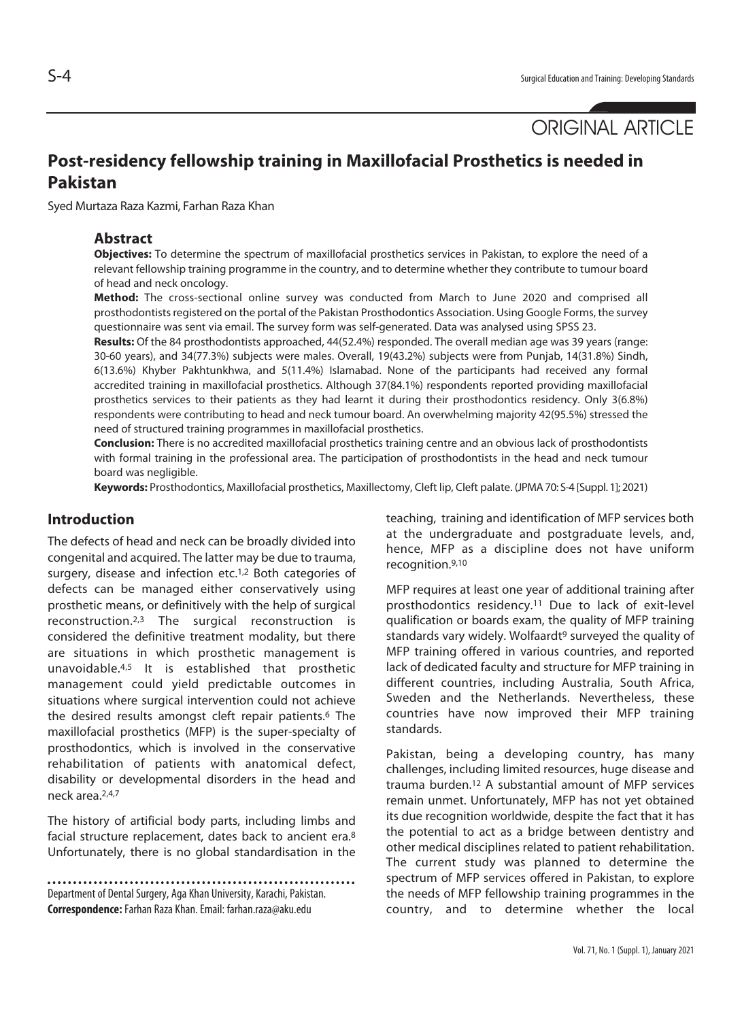# **Post-residency fellowship training in Maxillofacial Prosthetics is needed in Pakistan**

Syed Murtaza Raza Kazmi, Farhan Raza Khan

#### **Abstract**

**Objectives:** To determine the spectrum of maxillofacial prosthetics services in Pakistan, to explore the need of a relevant fellowship training programme in the country, and to determine whether they contribute to tumour board of head and neck oncology.

**Method:** The cross-sectional online survey was conducted from March to June 2020 and comprised all prosthodontists registered on the portal of the Pakistan Prosthodontics Association. Using Google Forms, the survey questionnaire was sent via email. The survey form was self-generated. Data was analysed using SPSS 23.

**Results:** Of the 84 prosthodontists approached, 44(52.4%) responded. The overall median age was 39 years (range: 30-60 years), and 34(77.3%) subjects were males. Overall, 19(43.2%) subjects were from Punjab, 14(31.8%) Sindh, 6(13.6%) Khyber Pakhtunkhwa, and 5(11.4%) Islamabad. None of the participants had received any formal accredited training in maxillofacial prosthetics. Although 37(84.1%) respondents reported providing maxillofacial prosthetics services to their patients as they had learnt it during their prosthodontics residency. Only 3(6.8%) respondents were contributing to head and neck tumour board. An overwhelming majority 42(95.5%) stressed the need of structured training programmes in maxillofacial prosthetics.

**Conclusion:** There is no accredited maxillofacial prosthetics training centre and an obvious lack of prosthodontists with formal training in the professional area. The participation of prosthodontists in the head and neck tumour board was negligible.

**Keywords:** Prosthodontics, Maxillofacial prosthetics, Maxillectomy, Cleft lip, Cleft palate. (JPMA 70: S-4 [Suppl. 1]; 2021)

### **Introduction**

The defects of head and neck can be broadly divided into congenital and acquired. The latter may be due to trauma, surgery, disease and infection etc.<sup>1,2</sup> Both categories of defects can be managed either conservatively using prosthetic means, or definitively with the help of surgical reconstruction.2,3 The surgical reconstruction is considered the definitive treatment modality, but there are situations in which prosthetic management is unavoidable.4,5 It is established that prosthetic management could yield predictable outcomes in situations where surgical intervention could not achieve the desired results amongst cleft repair patients.<sup>6</sup> The maxillofacial prosthetics (MFP) is the super-specialty of prosthodontics, which is involved in the conservative rehabilitation of patients with anatomical defect, disability or developmental disorders in the head and neck area.2,4,7

The history of artificial body parts, including limbs and facial structure replacement, dates back to ancient era.8 Unfortunately, there is no global standardisation in the

Department of Dental Surgery, Aga Khan University, Karachi, Pakistan. **Correspondence:** Farhan Raza Khan. Email: farhan.raza@aku.edu

teaching, training and identification of MFP services both at the undergraduate and postgraduate levels, and, hence, MFP as a discipline does not have uniform recognition.9,10

MFP requires at least one year of additional training after prosthodontics residency.11 Due to lack of exit-level qualification or boards exam, the quality of MFP training standards vary widely. Wolfaardt<sup>9</sup> surveyed the quality of MFP training offered in various countries, and reported lack of dedicated faculty and structure for MFP training in different countries, including Australia, South Africa, Sweden and the Netherlands. Nevertheless, these countries have now improved their MFP training standards.

Pakistan, being a developing country, has many challenges, including limited resources, huge disease and trauma burden.12 A substantial amount of MFP services remain unmet. Unfortunately, MFP has not yet obtained its due recognition worldwide, despite the fact that it has the potential to act as a bridge between dentistry and other medical disciplines related to patient rehabilitation. The current study was planned to determine the spectrum of MFP services offered in Pakistan, to explore the needs of MFP fellowship training programmes in the country, and to determine whether the local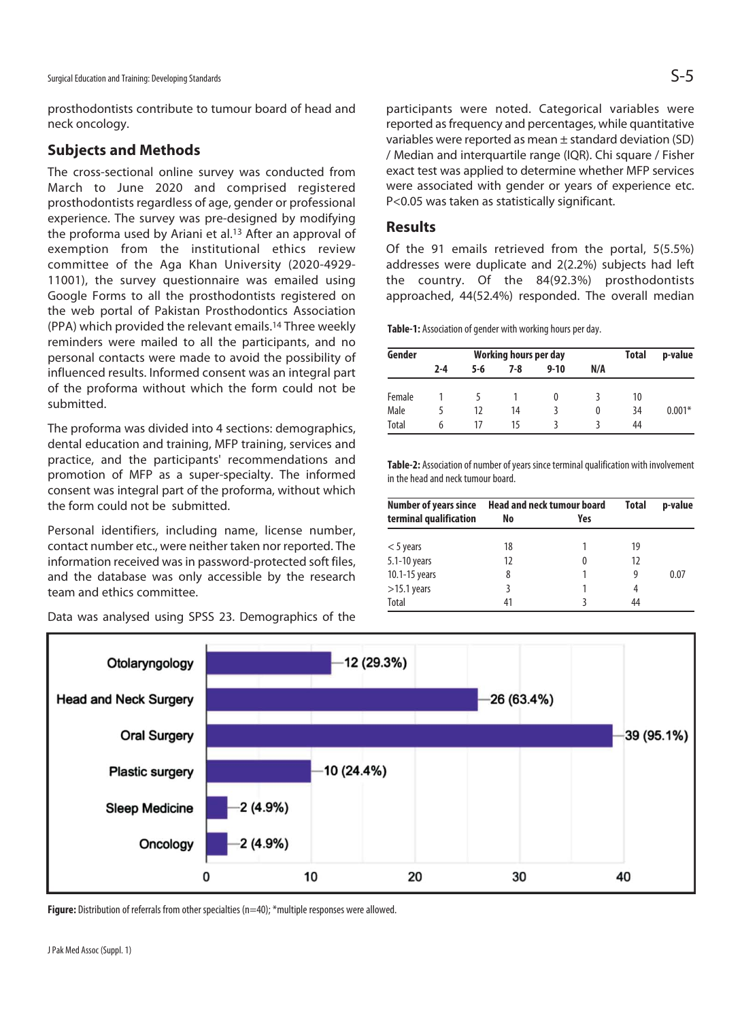prosthodontists contribute to tumour board of head and neck oncology.

#### **Subjects and Methods**

The cross-sectional online survey was conducted from March to June 2020 and comprised registered prosthodontists regardless of age, gender or professional experience. The survey was pre-designed by modifying the proforma used by Ariani et al.<sup>13</sup> After an approval of exemption from the institutional ethics review committee of the Aga Khan University (2020-4929- 11001), the survey questionnaire was emailed using Google Forms to all the prosthodontists registered on the web portal of Pakistan Prosthodontics Association (PPA) which provided the relevant emails.14 Three weekly reminders were mailed to all the participants, and no personal contacts were made to avoid the possibility of influenced results. Informed consent was an integral part of the proforma without which the form could not be submitted.

The proforma was divided into 4 sections: demographics, dental education and training, MFP training, services and practice, and the participants' recommendations and promotion of MFP as a super-specialty. The informed consent was integral part of the proforma, without which the form could not be submitted.

Personal identifiers, including name, license number, contact number etc., were neither taken nor reported. The information received was in password-protected soft files, and the database was only accessible by the research team and ethics committee.

12 (29.3%) Otolaryngology 26 (63.4%) **Head and Neck Surgery Oral Surgery** 39 (95.1%) 10 (24.4%) **Plastic surgery** 2 (4.9%) **Sleep Medicine**  $2(4.9%)$ Oncology 0 10 20 30 40

Data was analysed using SPSS 23. Demographics of the

Figure: Distribution of referrals from other specialties (n=40); \*multiple responses were allowed.

participants were noted. Categorical variables were reported as frequency and percentages, while quantitative variables were reported as mean ± standard deviation (SD) / Median and interquartile range (IQR). Chi square / Fisher exact test was applied to determine whether MFP services were associated with gender or years of experience etc. P<0.05 was taken as statistically significant.

#### **Results**

Of the 91 emails retrieved from the portal, 5(5.5%) addresses were duplicate and 2(2.2%) subjects had left the country. Of the 84(92.3%) prosthodontists approached, 44(52.4%) responded. The overall median

**Table-1:** Association of gender with working hours per day.

| Gender |         | Working hours per day | <b>Total</b> | p-value  |          |    |          |
|--------|---------|-----------------------|--------------|----------|----------|----|----------|
|        | $2 - 4$ | 5-6                   | 7-8          | $9 - 10$ | N/A      |    |          |
| Female |         |                       |              | $\Omega$ |          | 10 |          |
| Male   |         | 12                    | 14           |          | $\Omega$ | 34 | $0.001*$ |
| Total  | h       | 17                    | 15           |          |          | 44 |          |

**Table-2:** Association of number of years since terminal qualification with involvement in the head and neck tumour board.

| <b>Number of years since</b> | <b>Head and neck tumour board</b> | <b>Total</b> | p-value |      |
|------------------------------|-----------------------------------|--------------|---------|------|
| terminal qualification       | No                                | Yes          |         |      |
| $<$ 5 years                  | 18                                |              | 19      |      |
| 5.1-10 years                 | 12                                | 0            | 12      |      |
| 10.1-15 years                | 8                                 |              | 9       | 0.07 |
| $>15.1$ years                | ξ                                 |              | 4       |      |
| Total                        | 41                                |              | 44      |      |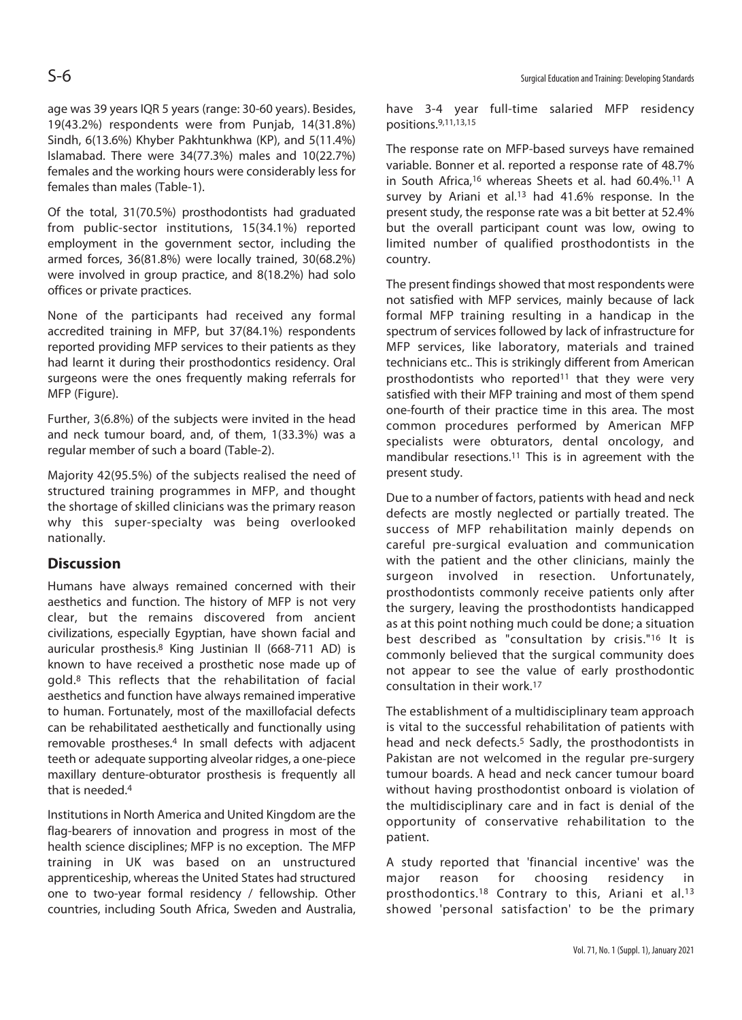age was 39 years IQR 5 years (range: 30-60 years). Besides, 19(43.2%) respondents were from Punjab, 14(31.8%) Sindh, 6(13.6%) Khyber Pakhtunkhwa (KP), and 5(11.4%) Islamabad. There were 34(77.3%) males and 10(22.7%) females and the working hours were considerably less for females than males (Table-1).

Of the total, 31(70.5%) prosthodontists had graduated from public-sector institutions, 15(34.1%) reported employment in the government sector, including the armed forces, 36(81.8%) were locally trained, 30(68.2%) were involved in group practice, and 8(18.2%) had solo offices or private practices.

None of the participants had received any formal accredited training in MFP, but 37(84.1%) respondents reported providing MFP services to their patients as they had learnt it during their prosthodontics residency. Oral surgeons were the ones frequently making referrals for MFP (Figure).

Further, 3(6.8%) of the subjects were invited in the head and neck tumour board, and, of them, 1(33.3%) was a regular member of such a board (Table-2).

Majority 42(95.5%) of the subjects realised the need of structured training programmes in MFP, and thought the shortage of skilled clinicians was the primary reason why this super-specialty was being overlooked nationally.

## **Discussion**

Humans have always remained concerned with their aesthetics and function. The history of MFP is not very clear, but the remains discovered from ancient civilizations, especially Egyptian, have shown facial and auricular prosthesis.8 King Justinian II (668-711 AD) is known to have received a prosthetic nose made up of gold.8 This reflects that the rehabilitation of facial aesthetics and function have always remained imperative to human. Fortunately, most of the maxillofacial defects can be rehabilitated aesthetically and functionally using removable prostheses.4 In small defects with adjacent teeth or adequate supporting alveolar ridges, a one-piece maxillary denture-obturator prosthesis is frequently all that is needed 4

Institutions in North America and United Kingdom are the flag-bearers of innovation and progress in most of the health science disciplines; MFP is no exception. The MFP training in UK was based on an unstructured apprenticeship, whereas the United States had structured one to two-year formal residency / fellowship. Other countries, including South Africa, Sweden and Australia,

have 3-4 year full-time salaried MFP residency positions.9,11,13,15

The response rate on MFP-based surveys have remained variable. Bonner et al. reported a response rate of 48.7% in South Africa,<sup>16</sup> whereas Sheets et al. had 60.4%.<sup>11</sup> A survey by Ariani et al.<sup>13</sup> had 41.6% response. In the present study, the response rate was a bit better at 52.4% but the overall participant count was low, owing to limited number of qualified prosthodontists in the country.

The present findings showed that most respondents were not satisfied with MFP services, mainly because of lack formal MFP training resulting in a handicap in the spectrum of services followed by lack of infrastructure for MFP services, like laboratory, materials and trained technicians etc.. This is strikingly different from American prosthodontists who reported<sup>11</sup> that they were very satisfied with their MFP training and most of them spend one-fourth of their practice time in this area. The most common procedures performed by American MFP specialists were obturators, dental oncology, and mandibular resections.11 This is in agreement with the present study.

Due to a number of factors, patients with head and neck defects are mostly neglected or partially treated. The success of MFP rehabilitation mainly depends on careful pre-surgical evaluation and communication with the patient and the other clinicians, mainly the surgeon involved in resection. Unfortunately, prosthodontists commonly receive patients only after the surgery, leaving the prosthodontists handicapped as at this point nothing much could be done; a situation best described as "consultation by crisis."16 It is commonly believed that the surgical community does not appear to see the value of early prosthodontic consultation in their work.17

The establishment of a multidisciplinary team approach is vital to the successful rehabilitation of patients with head and neck defects.<sup>5</sup> Sadly, the prosthodontists in Pakistan are not welcomed in the regular pre-surgery tumour boards. A head and neck cancer tumour board without having prosthodontist onboard is violation of the multidisciplinary care and in fact is denial of the opportunity of conservative rehabilitation to the patient.

A study reported that 'financial incentive' was the major reason for choosing residency in prosthodontics.18 Contrary to this, Ariani et al.13 showed 'personal satisfaction' to be the primary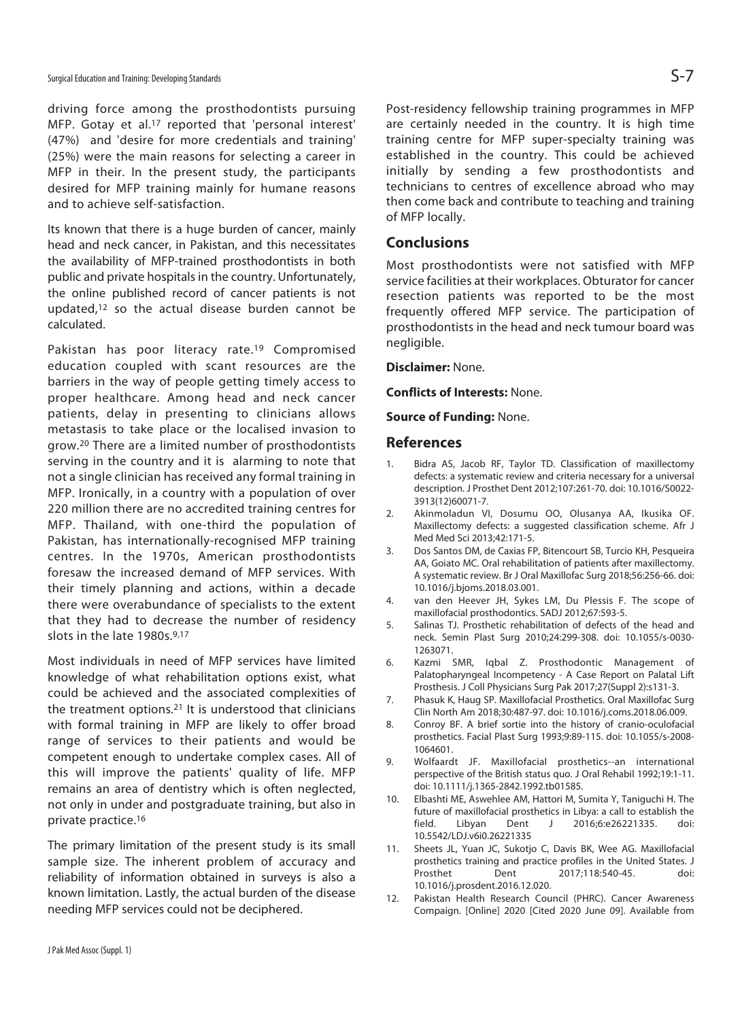driving force among the prosthodontists pursuing MFP. Gotay et al.17 reported that 'personal interest' (47%) and 'desire for more credentials and training' (25%) were the main reasons for selecting a career in MFP in their. In the present study, the participants desired for MFP training mainly for humane reasons and to achieve self-satisfaction.

Its known that there is a huge burden of cancer, mainly head and neck cancer, in Pakistan, and this necessitates the availability of MFP-trained prosthodontists in both public and private hospitals in the country. Unfortunately, the online published record of cancer patients is not updated,12 so the actual disease burden cannot be calculated.

Pakistan has poor literacy rate.<sup>19</sup> Compromised education coupled with scant resources are the barriers in the way of people getting timely access to proper healthcare. Among head and neck cancer patients, delay in presenting to clinicians allows metastasis to take place or the localised invasion to grow.20 There are a limited number of prosthodontists serving in the country and it is alarming to note that not a single clinician has received any formal training in MFP. Ironically, in a country with a population of over 220 million there are no accredited training centres for MFP. Thailand, with one-third the population of Pakistan, has internationally-recognised MFP training centres. In the 1970s, American prosthodontists foresaw the increased demand of MFP services. With their timely planning and actions, within a decade there were overabundance of specialists to the extent that they had to decrease the number of residency slots in the late 1980s.9,17

Most individuals in need of MFP services have limited knowledge of what rehabilitation options exist, what could be achieved and the associated complexities of the treatment options.21 It is understood that clinicians with formal training in MFP are likely to offer broad range of services to their patients and would be competent enough to undertake complex cases. All of this will improve the patients' quality of life. MFP remains an area of dentistry which is often neglected, not only in under and postgraduate training, but also in private practice.16

The primary limitation of the present study is its small sample size. The inherent problem of accuracy and reliability of information obtained in surveys is also a known limitation. Lastly, the actual burden of the disease needing MFP services could not be deciphered.

Post-residency fellowship training programmes in MFP are certainly needed in the country. It is high time training centre for MFP super-specialty training was established in the country. This could be achieved initially by sending a few prosthodontists and technicians to centres of excellence abroad who may then come back and contribute to teaching and training of MFP locally.

#### **Conclusions**

Most prosthodontists were not satisfied with MFP service facilities at their workplaces. Obturator for cancer resection patients was reported to be the most frequently offered MFP service. The participation of prosthodontists in the head and neck tumour board was negligible.

**Disclaimer:** None.

**Conflicts of Interests:** None.

**Source of Funding:** None.

#### **References**

- 1. Bidra AS, Jacob RF, Taylor TD. Classification of maxillectomy defects: a systematic review and criteria necessary for a universal description. J Prosthet Dent 2012;107:261-70. doi: 10.1016/S0022- 3913(12)60071-7.
- 2. Akinmoladun VI, Dosumu OO, Olusanya AA, Ikusika OF. Maxillectomy defects: a suggested classification scheme. Afr J Med Med Sci 2013;42:171-5.
- 3. Dos Santos DM, de Caxias FP, Bitencourt SB, Turcio KH, Pesqueira AA, Goiato MC. Oral rehabilitation of patients after maxillectomy. A systematic review. Br J Oral Maxillofac Surg 2018;56:256-66. doi: 10.1016/j.bjoms.2018.03.001.
- 4. van den Heever JH, Sykes LM, Du Plessis F. The scope of maxillofacial prosthodontics. SADJ 2012;67:593-5.
- 5. Salinas TJ. Prosthetic rehabilitation of defects of the head and neck. Semin Plast Surg 2010;24:299-308. doi: 10.1055/s-0030- 1263071.
- 6. Kazmi SMR, Iqbal Z. Prosthodontic Management of Palatopharyngeal Incompetency - A Case Report on Palatal Lift Prosthesis. J Coll Physicians Surg Pak 2017;27(Suppl 2):s131-3.
- 7. Phasuk K, Haug SP. Maxillofacial Prosthetics. Oral Maxillofac Surg Clin North Am 2018;30:487-97. doi: 10.1016/j.coms.2018.06.009.
- 8. Conroy BF. A brief sortie into the history of cranio-oculofacial prosthetics. Facial Plast Surg 1993;9:89-115. doi: 10.1055/s-2008- 1064601.
- 9. Wolfaardt JF. Maxillofacial prosthetics--an international perspective of the British status quo. J Oral Rehabil 1992;19:1-11. doi: 10.1111/j.1365-2842.1992.tb01585.
- 10. Elbashti ME, Aswehlee AM, Hattori M, Sumita Y, Taniguchi H. The future of maxillofacial prosthetics in Libya: a call to establish the J 2016;6:e26221335. 10.5542/LDJ.v6i0.26221335
- 11. Sheets JL, Yuan JC, Sukotjo C, Davis BK, Wee AG. Maxillofacial prosthetics training and practice profiles in the United States. J Prosthet Dent 2017;118:540-45. doi: 10.1016/j.prosdent.2016.12.020.
- 12. Pakistan Health Research Council (PHRC). Cancer Awareness Compaign. [Online] 2020 [Cited 2020 June 09]. Available from